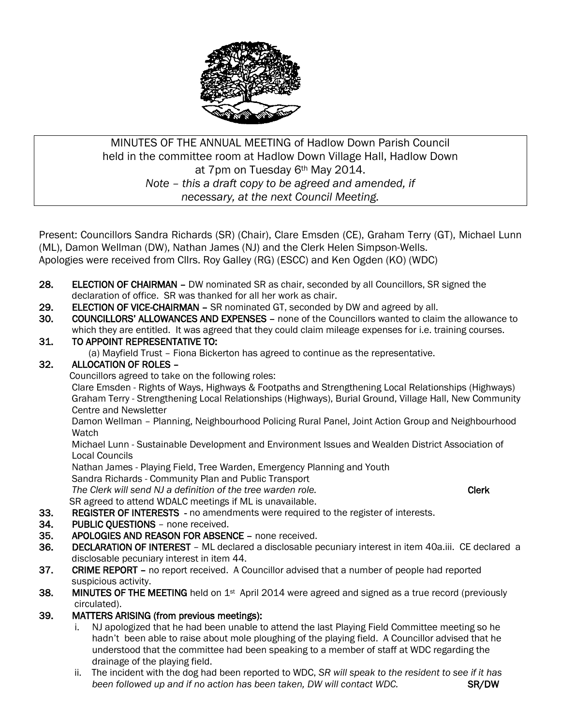

### MINUTES OF THE ANNUAL MEETING of Hadlow Down Parish Council held in the committee room at Hadlow Down Village Hall, Hadlow Down at 7pm on Tuesday 6th May 2014. *Note – this a draft copy to be agreed and amended, if necessary, at the next Council Meeting.*

Present: Councillors Sandra Richards (SR) (Chair), Clare Emsden (CE), Graham Terry (GT), Michael Lunn (ML), Damon Wellman (DW), Nathan James (NJ) and the Clerk Helen Simpson-Wells. Apologies were received from Cllrs. Roy Galley (RG) (ESCC) and Ken Ogden (KO) (WDC)

- 28. ELECTION OF CHAIRMAN DW nominated SR as chair, seconded by all Councillors, SR signed the declaration of office. SR was thanked for all her work as chair.
- 29. ELECTION OF VICE-CHAIRMAN SR nominated GT, seconded by DW and agreed by all.
- 30. COUNCILLORS' ALLOWANCES AND EXPENSES none of the Councillors wanted to claim the allowance to which they are entitled. It was agreed that they could claim mileage expenses for i.e. training courses.

#### 31. TO APPOINT REPRESENTATIVE TO:

(a) Mayfield Trust – Fiona Bickerton has agreed to continue as the representative.

#### 32. ALLOCATION OF ROLES –

Councillors agreed to take on the following roles:

 Clare Emsden - Rights of Ways, Highways & Footpaths and Strengthening Local Relationships (Highways) Graham Terry - Strengthening Local Relationships (Highways), Burial Ground, Village Hall, New Community Centre and Newsletter

 Damon Wellman – Planning, Neighbourhood Policing Rural Panel, Joint Action Group and Neighbourhood **Watch** 

 Michael Lunn - Sustainable Development and Environment Issues and Wealden District Association of Local Councils

Nathan James - Playing Field, Tree Warden, Emergency Planning and Youth

Sandra Richards - Community Plan and Public Transport

The Clerk will send NJ a definition of the tree warden role. The Clerk clerk contained the Clerk SR agreed to attend WDALC meetings if ML is unavailable.

- 33. REGISTER OF INTERESTS no amendments were required to the register of interests.
- 34. PUBLIC QUESTIONS none received.
- 35. APOLOGIES AND REASON FOR ABSENCE none received.
- 36. DECLARATION OF INTEREST ML declared a disclosable pecuniary interest in item 40a.iii. CE declared a disclosable pecuniary interest in item 44.
- 37. CRIME REPORT no report received. A Councillor advised that a number of people had reported suspicious activity.
- 38. MINUTES OF THE MEETING held on 1<sup>st</sup> April 2014 were agreed and signed as a true record (previously circulated).
- 39. MATTERS ARISING (from previous meetings):
	- i. NJ apologized that he had been unable to attend the last Playing Field Committee meeting so he hadn't been able to raise about mole ploughing of the playing field. A Councillor advised that he understood that the committee had been speaking to a member of staff at WDC regarding the drainage of the playing field.
	- ii. The incident with the dog had been reported to WDC, *SR will speak to the resident to see if it has been followed up and if no action has been taken, DW will contact WDC.* SR/DW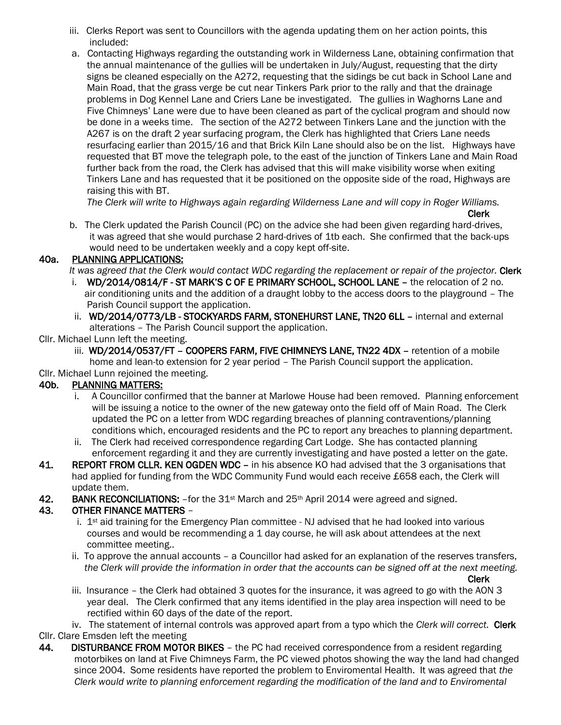- iii. Clerks Report was sent to Councillors with the agenda updating them on her action points, this included:
- a. Contacting Highways regarding the outstanding work in Wilderness Lane, obtaining confirmation that the annual maintenance of the gullies will be undertaken in July/August, requesting that the dirty signs be cleaned especially on the A272, requesting that the sidings be cut back in School Lane and Main Road, that the grass verge be cut near Tinkers Park prior to the rally and that the drainage problems in Dog Kennel Lane and Criers Lane be investigated. The gullies in Waghorns Lane and Five Chimneys' Lane were due to have been cleaned as part of the cyclical program and should now be done in a weeks time. The section of the A272 between Tinkers Lane and the junction with the A267 is on the draft 2 year surfacing program, the Clerk has highlighted that Criers Lane needs resurfacing earlier than 2015/16 and that Brick Kiln Lane should also be on the list. Highways have requested that BT move the telegraph pole, to the east of the junction of Tinkers Lane and Main Road further back from the road, the Clerk has advised that this will make visibility worse when exiting Tinkers Lane and has requested that it be positioned on the opposite side of the road, Highways are raising this with BT.

*The Clerk will write to Highways again regarding Wilderness Lane and will copy in Roger Williams.*

- Clerk
- b. The Clerk updated the Parish Council (PC) on the advice she had been given regarding hard-drives, it was agreed that she would purchase 2 hard-drives of 1tb each. She confirmed that the back-ups would need to be undertaken weekly and a copy kept off-site.

#### 40a. PLANNING APPLICATIONS:

It was agreed that the Clerk would contact WDC regarding the replacement or repair of the projector. **Clerk** 

- i. WD/2014/0814/F ST MARK'S C OF E PRIMARY SCHOOL, SCHOOL LANE the relocation of 2 no. air conditioning units and the addition of a draught lobby to the access doors to the playground – The Parish Council support the application.
- ii. WD/2014/0773/LB STOCKYARDS FARM, STONEHURST LANE, TN20 6LL internal and external alterations – The Parish Council support the application.
- Cllr. Michael Lunn left the meeting.
	- iii. WD/2014/0537/FT COOPERS FARM, FIVE CHIMNEYS LANE, TN22 4DX retention of a mobile home and lean-to extension for 2 year period – The Parish Council support the application.
- Cllr. Michael Lunn rejoined the meeting.

### 40b. PLANNING MATTERS:

- i. A Councillor confirmed that the banner at Marlowe House had been removed. Planning enforcement will be issuing a notice to the owner of the new gateway onto the field off of Main Road. The Clerk updated the PC on a letter from WDC regarding breaches of planning contraventions/planning conditions which, encouraged residents and the PC to report any breaches to planning department.
- ii. The Clerk had received correspondence regarding Cart Lodge. She has contacted planning enforcement regarding it and they are currently investigating and have posted a letter on the gate.
- 41. REPORT FROM CLLR. KEN OGDEN WDC in his absence KO had advised that the 3 organisations that had applied for funding from the WDC Community Fund would each receive £658 each, the Clerk will update them.
- 42. BANK RECONCILIATIONS: for the 31<sup>st</sup> March and 25<sup>th</sup> April 2014 were agreed and signed.

#### 43. OTHER FINANCE MATTERS –

- i.  $1<sup>st</sup>$  aid training for the Emergency Plan committee NJ advised that he had looked into various courses and would be recommending a 1 day course, he will ask about attendees at the next committee meeting..
- ii. To approve the annual accounts a Councillor had asked for an explanation of the reserves transfers, *the Clerk will provide the information in order that the accounts can be signed off at the next meeting.*

Clerk

iii. Insurance – the Clerk had obtained 3 quotes for the insurance, it was agreed to go with the AON 3 year deal. The Clerk confirmed that any items identified in the play area inspection will need to be rectified within 60 days of the date of the report.

iv. The statement of internal controls was approved apart from a typo which the *Clerk will correct.* Clerk Cllr. Clare Emsden left the meeting

44. DISTURBANCE FROM MOTOR BIKES – the PC had received correspondence from a resident regarding motorbikes on land at Five Chimneys Farm, the PC viewed photos showing the way the land had changed since 2004. Some residents have reported the problem to Enviromental Health. It was agreed that *the Clerk would write to planning enforcement regarding the modification of the land and to Enviromental*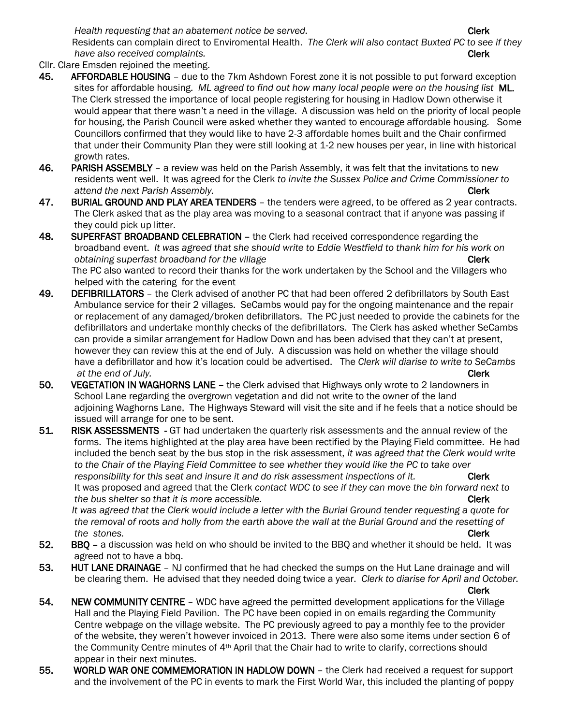*Health requesting that an abatement notice be served.* The serve of the server of  $\mathsf{Clerk}\n$ 

 Residents can complain direct to Enviromental Health. *The Clerk will also contact Buxted PC to see if they have also received complaints.* Clerk and the complaints of the complaints of the complaints of the complaints of the complaints.

- Cllr. Clare Emsden rejoined the meeting.
- 45. AFFORDABLE HOUSING due to the 7km Ashdown Forest zone it is not possible to put forward exception sites for affordable housing. *ML agreed to find out how many local people were on the housing list* ML. The Clerk stressed the importance of local people registering for housing in Hadlow Down otherwise it would appear that there wasn't a need in the village. A discussion was held on the priority of local people for housing, the Parish Council were asked whether they wanted to encourage affordable housing. Some Councillors confirmed that they would like to have 2-3 affordable homes built and the Chair confirmed that under their Community Plan they were still looking at 1-2 new houses per year, in line with historical growth rates.
- 46. PARISH ASSEMBLY a review was held on the Parish Assembly, it was felt that the invitations to new residents went well. It was agreed for the Clerk *to invite the Sussex Police and Crime Commissioner to attend the next Parish Assembly.* Clerk and the next Parish Assembly.
- 47. BURIAL GROUND AND PLAY AREA TENDERS the tenders were agreed, to be offered as 2 year contracts. The Clerk asked that as the play area was moving to a seasonal contract that if anyone was passing if they could pick up litter.
- 48. SUPERFAST BROADBAND CELEBRATION the Clerk had received correspondence regarding the broadband event. *It was agreed that she should write to Eddie Westfield to thank him for his work on <i>obtaining superfast broadband for the village* Clerk **Clerk** Clerk The PC also wanted to record their thanks for the work undertaken by the School and the Villagers who helped with the catering for the event
- 49. DEFIBRILLATORS the Clerk advised of another PC that had been offered 2 defibrillators by South East Ambulance service for their 2 villages. SeCambs would pay for the ongoing maintenance and the repair or replacement of any damaged/broken defibrillators. The PC just needed to provide the cabinets for the defibrillators and undertake monthly checks of the defibrillators. The Clerk has asked whether SeCambs can provide a similar arrangement for Hadlow Down and has been advised that they can't at present, however they can review this at the end of July. A discussion was held on whether the village should have a defibrillator and how it's location could be advertised. The *Clerk will diarise to write to SeCambs at the end of July.* **Clerk**
- 50. VEGETATION IN WAGHORNS LANE the Clerk advised that Highways only wrote to 2 landowners in School Lane regarding the overgrown vegetation and did not write to the owner of the land adjoining Waghorns Lane, The Highways Steward will visit the site and if he feels that a notice should be issued will arrange for one to be sent.
- 51. RISK ASSESSMENTS GT had undertaken the quarterly risk assessments and the annual review of the forms. The items highlighted at the play area have been rectified by the Playing Field committee. He had included the bench seat by the bus stop in the risk assessment, *it was agreed that the Clerk would write to the Chair of the Playing Field Committee to see whether they would like the PC to take over*  responsibility for this seat and insure it and do risk assessment inspections of it. **Clerk**  It was proposed and agreed that the Clerk *contact WDC to see if they can move the bin forward next to the bus shelter so that it is more accessible.* **The set of the set of the set of the Clerk**

 *It was agreed that the Clerk would include a letter with the Burial Ground tender requesting a quote for the removal of roots and holly from the earth above the wall at the Burial Ground and the resetting of the stones.* **Clerk** 

- 52. BBQ a discussion was held on who should be invited to the BBQ and whether it should be held. It was agreed not to have a bbq.
- 53. HUT LANE DRAINAGE NJ confirmed that he had checked the sumps on the Hut Lane drainage and will be clearing them. He advised that they needed doing twice a year. *Clerk to diarise for April and October.*  Clerk

54. NEW COMMUNITY CENTRE – WDC have agreed the permitted development applications for the Village Hall and the Playing Field Pavilion. The PC have been copied in on emails regarding the Community Centre webpage on the village website. The PC previously agreed to pay a monthly fee to the provider of the website, they weren't however invoiced in 2013. There were also some items under section 6 of the Community Centre minutes of 4th April that the Chair had to write to clarify, corrections should appear in their next minutes.

55. WORLD WAR ONE COMMEMORATION IN HADLOW DOWN – the Clerk had received a request for support and the involvement of the PC in events to mark the First World War, this included the planting of poppy